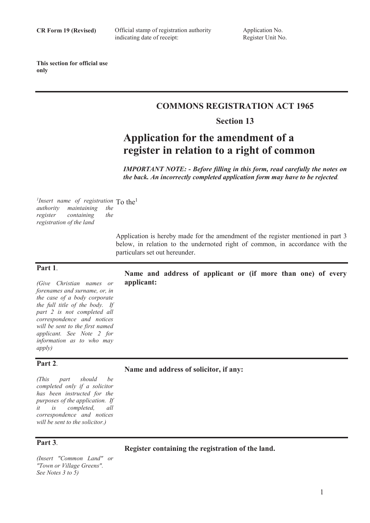Official stamp of registration authority indicating date of receipt:

**This section for official use only**

## **COMMONS REGISTRATION ACT 1965**

### **Section 13**

# **Application for the amendment of a register in relation to a right of common**

*IMPORTANT NOTE: - Before filling in this form, read carefully the notes on the back. An incorrectly completed application form may have to be rejected.* 

<sup>1</sup>Insert name of registration To the<sup>1</sup> *authority maintaining the containing the registration of the land*

**applicant:**

Application is hereby made for the amendment of the register mentioned in part 3 below, in relation to the undernoted right of common, in accordance with the particulars set out hereunder.

**Name and address of applicant or (if more than one) of every** 

### **Part 1**.

*(Give Christian names or forenames and surname, or, in the case of a body corporate the full title of the body. If part 2 is not completed all correspondence and notices will be sent to the first named applicant. See Note 2 for information as to who may apply)*

### **Part 2**.

*(This part should be completed only if a solicitor has been instructed for the purposes of the application. If it is completed, all correspondence and notices will be sent to the solicitor.)*

### **Part 3**.

**Register containing the registration of the land.**

**Name and address of solicitor, if any:**

*(Insert "Common Land" or "Town or Village Greens". See Notes 3 to 5)* 

1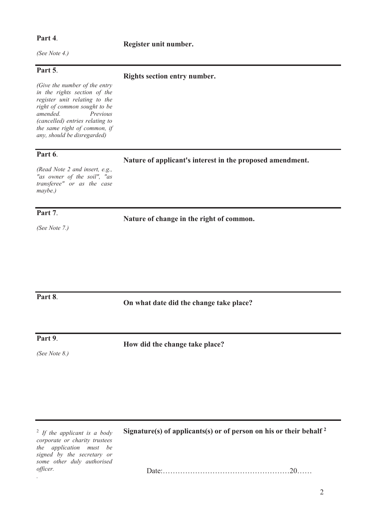### **Part 4**.

*(See Note 4.)* 

### **Part 5**.

*(Give the number of the entry in the rights section of the register unit relating to the right of common sought to be Previous (cancelled) entries relating to the same right of common, if any, should be disregarded)* 

### **Part 6**.

### **Rights section entry number.**

**Register unit number.**

**Nature of applicant's interest in the proposed amendment.**

*(Read Note 2 and insert, e.g., "as owner of the soil", "as transferee" or as the case maybe.)* 

### **Part 7**.

*(See Note 7.)* 

**Nature of change in the right of common.**

**On what date did the change take place?**

**Part 8**.

**Part 9**.

*(See Note 8.)*

**How did the change take place?** 

2 *If the applicant is a body corporate or charity trustees the application must be signed by the secretary or some other duly authorised officer. .*

**Signature(s) of applicants(s) or of person on his or their behalf <sup>2</sup>** 

Date:……………………………………………20……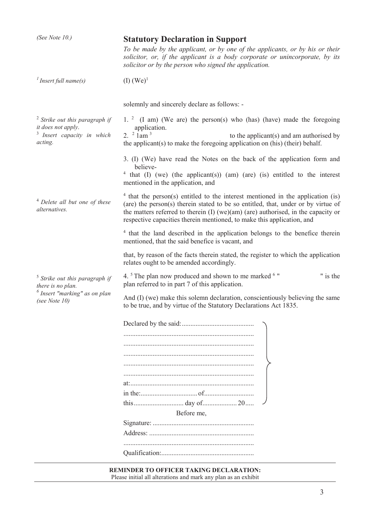| (See Note 10.)                                                                                                             | <b>Statutory Declaration in Support</b>                                                                                                                                                                                                                                                                                                        |
|----------------------------------------------------------------------------------------------------------------------------|------------------------------------------------------------------------------------------------------------------------------------------------------------------------------------------------------------------------------------------------------------------------------------------------------------------------------------------------|
|                                                                                                                            | To be made by the applicant, or by one of the applicants, or by his or their<br>solicitor, or, if the applicant is a body corporate or unincorporate, by its<br>solicitor or by the person who signed the application.                                                                                                                         |
| $\frac{1}{1}$ Insert full name(s)                                                                                          | $(I)$ (We) <sup>1</sup>                                                                                                                                                                                                                                                                                                                        |
|                                                                                                                            | solemnly and sincerely declare as follows: -                                                                                                                                                                                                                                                                                                   |
| $2$ Strike out this paragraph if<br>it does not apply.<br><sup>3</sup> Insert capacity in which<br>acting.                 | 1. $2 \times (I \text{ am})$ (We are) the person(s) who (has) (have) made the foregoing<br>application.<br>2. $2 \cdot 1$ am $3$<br>to the applicant(s) and am authorised by<br>the applicant(s) to make the foregoing application on (his) (their) behalf.                                                                                    |
|                                                                                                                            | 3. (I) (We) have read the Notes on the back of the application form and<br>believe-<br><sup>4</sup> that (I) (we) (the applicant(s)) (am) (are) (is) entitled to the interest<br>mentioned in the application, and                                                                                                                             |
| <sup>4</sup> Delete all but one of these<br>alternatives.                                                                  | <sup>4</sup> that the person(s) entitled to the interest mentioned in the application (is)<br>(are) the person(s) therein stated to be so entitled, that, under or by virtue of<br>the matters referred to therein (I) (we)(am) (are) authorised, in the capacity or<br>respective capacities therein mentioned, to make this application, and |
|                                                                                                                            | <sup>4</sup> that the land described in the application belongs to the benefice therein<br>mentioned, that the said benefice is vacant, and                                                                                                                                                                                                    |
|                                                                                                                            | that, by reason of the facts therein stated, the register to which the application<br>relates ought to be amended accordingly.                                                                                                                                                                                                                 |
| <sup>5</sup> Strike out this paragraph if<br>there is no plan.<br>$\delta$ Insert "marking" as on plan<br>(see Note $10$ ) | 4. <sup>5</sup> The plan now produced and shown to me marked <sup>6</sup> "<br>" is the<br>plan referred to in part 7 of this application.                                                                                                                                                                                                     |
|                                                                                                                            | And (I) (we) make this solemn declaration, conscientiously believing the same<br>to be true, and by virtue of the Statutory Declarations Act 1835.                                                                                                                                                                                             |
|                                                                                                                            |                                                                                                                                                                                                                                                                                                                                                |
|                                                                                                                            |                                                                                                                                                                                                                                                                                                                                                |
|                                                                                                                            |                                                                                                                                                                                                                                                                                                                                                |
|                                                                                                                            |                                                                                                                                                                                                                                                                                                                                                |
|                                                                                                                            |                                                                                                                                                                                                                                                                                                                                                |
|                                                                                                                            |                                                                                                                                                                                                                                                                                                                                                |
|                                                                                                                            |                                                                                                                                                                                                                                                                                                                                                |
|                                                                                                                            | Before me,                                                                                                                                                                                                                                                                                                                                     |
|                                                                                                                            |                                                                                                                                                                                                                                                                                                                                                |
|                                                                                                                            |                                                                                                                                                                                                                                                                                                                                                |
|                                                                                                                            |                                                                                                                                                                                                                                                                                                                                                |
|                                                                                                                            |                                                                                                                                                                                                                                                                                                                                                |
|                                                                                                                            | REMINDER TO OFFICER TAKING DECLARATION:                                                                                                                                                                                                                                                                                                        |

Please initial all alterations and mark any plan as an exhibit